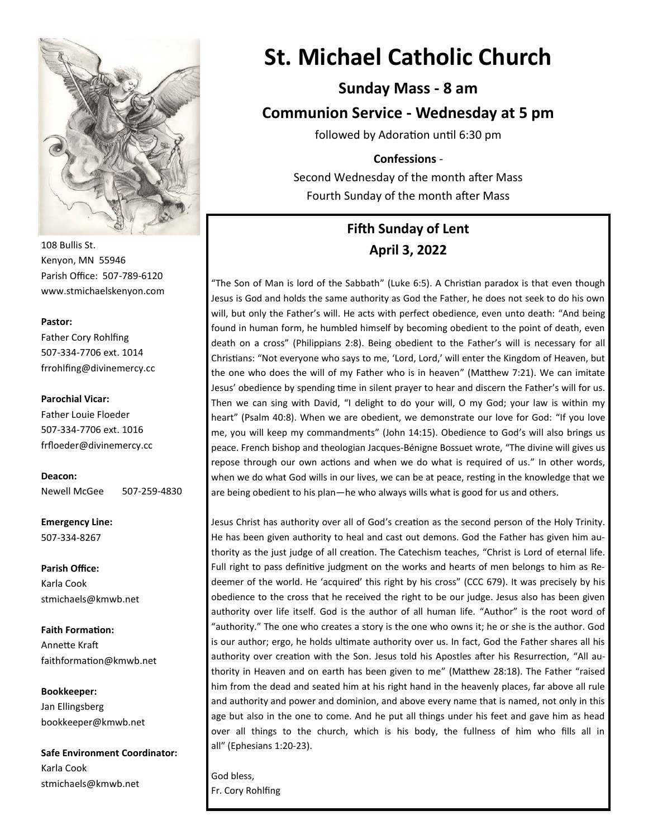

108 Bullis St. Kenyon, MN 55946 Parish Office: 507-789-6120 www.stmichaelskenyon.com

#### **Pastor:**

Father Cory Rohlfing 507-334-7706 ext. 1014 frrohlfing@divinemercy.cc

#### **Parochial Vicar:**

Father Louie Floeder 507-334-7706 ext. 1016 frfloeder@divinemercy.cc

**Deacon:**  Newell McGee 507-259-4830

**Emergency Line:** 507-334-8267

**Parish Office:**  Karla Cook stmichaels@kmwb.net

**Faith Formation:**  Annette Kraft faithformation@kmwb.net

**Bookkeeper:**  Jan Ellingsberg bookkeeper@kmwb.net

**Safe Environment Coordinator:** Karla Cook stmichaels@kmwb.net

# **St. Michael Catholic Church**

**Sunday Mass - 8 am**

**Communion Service - Wednesday at 5 pm** 

followed by Adoration until 6:30 pm

#### **Confessions** -

Second Wednesday of the month after Mass Fourth Sunday of the month after Mass

## **Fifth Sunday of Lent April 3, 2022**

"The Son of Man is lord of the Sabbath" (Luke 6:5). A Christian paradox is that even though Jesus is God and holds the same authority as God the Father, he does not seek to do his own will, but only the Father's will. He acts with perfect obedience, even unto death: "And being found in human form, he humbled himself by becoming obedient to the point of death, even death on a cross" (Philippians 2:8). Being obedient to the Father's will is necessary for all Christians: "Not everyone who says to me, 'Lord, Lord,' will enter the Kingdom of Heaven, but the one who does the will of my Father who is in heaven" (Matthew 7:21). We can imitate Jesus' obedience by spending time in silent prayer to hear and discern the Father's will for us. Then we can sing with David, "I delight to do your will, O my God; your law is within my heart" (Psalm 40:8). When we are obedient, we demonstrate our love for God: "If you love me, you will keep my commandments" (John 14:15). Obedience to God's will also brings us peace. French bishop and theologian Jacques-Bénigne Bossuet wrote, "The divine will gives us repose through our own actions and when we do what is required of us." In other words, when we do what God wills in our lives, we can be at peace, resting in the knowledge that we are being obedient to his plan—he who always wills what is good for us and others.

Jesus Christ has authority over all of God's creation as the second person of the Holy Trinity. He has been given authority to heal and cast out demons. God the Father has given him authority as the just judge of all creation. The Catechism teaches, "Christ is Lord of eternal life. Full right to pass definitive judgment on the works and hearts of men belongs to him as Redeemer of the world. He 'acquired' this right by his cross" (CCC 679). It was precisely by his obedience to the cross that he received the right to be our judge. Jesus also has been given authority over life itself. God is the author of all human life. "Author" is the root word of "authority." The one who creates a story is the one who owns it; he or she is the author. God is our author; ergo, he holds ultimate authority over us. In fact, God the Father shares all his authority over creation with the Son. Jesus told his Apostles after his Resurrection, "All authority in Heaven and on earth has been given to me" (Matthew 28:18). The Father "raised him from the dead and seated him at his right hand in the heavenly places, far above all rule and authority and power and dominion, and above every name that is named, not only in this age but also in the one to come. And he put all things under his feet and gave him as head over all things to the church, which is his body, the fullness of him who fills all in all" (Ephesians 1:20-23).

God bless, Fr. Cory Rohlfing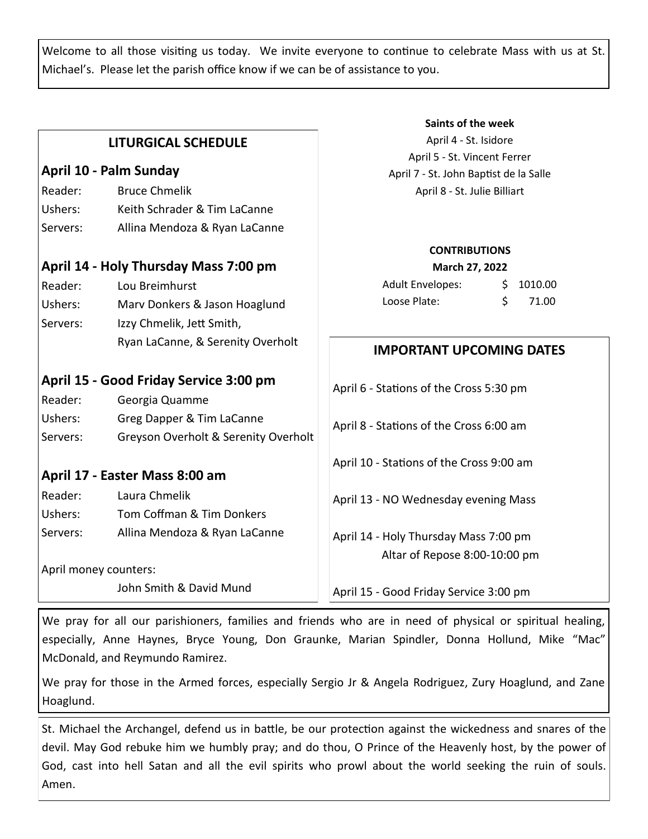Welcome to all those visiting us today. We invite everyone to continue to celebrate Mass with us at St. Michael's. Please let the parish office know if we can be of assistance to you.

**Saints of the week**

| <b>LITURGICAL SCHEDULE</b>             |                                      | April 4 - St. Isidore                    |                |
|----------------------------------------|--------------------------------------|------------------------------------------|----------------|
|                                        |                                      | April 5 - St. Vincent Ferrer             |                |
| April 10 - Palm Sunday                 |                                      | April 7 - St. John Baptist de la Salle   |                |
| Reader:                                | <b>Bruce Chmelik</b>                 | April 8 - St. Julie Billiart             |                |
| Ushers:                                | Keith Schrader & Tim LaCanne         |                                          |                |
| Servers:                               | Allina Mendoza & Ryan LaCanne        |                                          |                |
|                                        |                                      | <b>CONTRIBUTIONS</b>                     |                |
| April 14 - Holy Thursday Mass 7:00 pm  |                                      | March 27, 2022                           |                |
| Reader:                                | Lou Breimhurst                       | <b>Adult Envelopes:</b>                  | 1010.00<br>\$. |
| Ushers:                                | Marv Donkers & Jason Hoaglund        | Loose Plate:                             | \$<br>71.00    |
| Servers:                               | Izzy Chmelik, Jett Smith,            |                                          |                |
|                                        | Ryan LaCanne, & Serenity Overholt    | <b>IMPORTANT UPCOMING DATES</b>          |                |
| April 15 - Good Friday Service 3:00 pm |                                      | April 6 - Stations of the Cross 5:30 pm  |                |
| Reader:                                | Georgia Quamme                       |                                          |                |
| Ushers:                                | Greg Dapper & Tim LaCanne            | April 8 - Stations of the Cross 6:00 am  |                |
| Servers:                               | Greyson Overholt & Serenity Overholt |                                          |                |
|                                        |                                      | April 10 - Stations of the Cross 9:00 am |                |
|                                        | April 17 - Easter Mass 8:00 am       |                                          |                |
| Reader:                                | Laura Chmelik                        | April 13 - NO Wednesday evening Mass     |                |
| Ushers:                                | Tom Coffman & Tim Donkers            |                                          |                |
| Servers:                               | Allina Mendoza & Ryan LaCanne        | April 14 - Holy Thursday Mass 7:00 pm    |                |
|                                        |                                      | Altar of Repose 8:00-10:00 pm            |                |
| April money counters:                  |                                      |                                          |                |
|                                        | John Smith & David Mund              | April 15 - Good Friday Service 3:00 pm   |                |

We pray for all our parishioners, families and friends who are in need of physical or spiritual healing, especially, Anne Haynes, Bryce Young, Don Graunke, Marian Spindler, Donna Hollund, Mike "Mac" McDonald, and Reymundo Ramirez.

We pray for those in the Armed forces, especially Sergio Jr & Angela Rodriguez, Zury Hoaglund, and Zane Hoaglund.

St. Michael the Archangel, defend us in battle, be our protection against the wickedness and snares of the devil. May God rebuke him we humbly pray; and do thou, O Prince of the Heavenly host, by the power of God, cast into hell Satan and all the evil spirits who prowl about the world seeking the ruin of souls. Amen.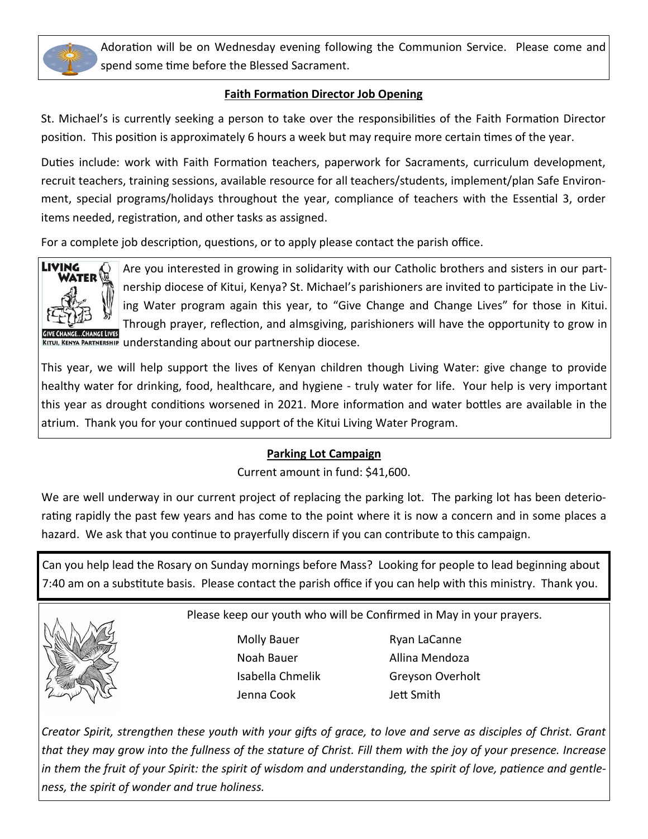

Adoration will be on Wednesday evening following the Communion Service. Please come and spend some time before the Blessed Sacrament.

#### **Faith Formation Director Job Opening**

St. Michael's is currently seeking a person to take over the responsibilities of the Faith Formation Director position. This position is approximately 6 hours a week but may require more certain times of the year.

Duties include: work with Faith Formation teachers, paperwork for Sacraments, curriculum development, recruit teachers, training sessions, available resource for all teachers/students, implement/plan Safe Environment, special programs/holidays throughout the year, compliance of teachers with the Essential 3, order items needed, registration, and other tasks as assigned.

For a complete job description, questions, or to apply please contact the parish office.



Are you interested in growing in solidarity with our Catholic brothers and sisters in our partnership diocese of Kitui, Kenya? St. Michael's parishioners are invited to participate in the Living Water program again this year, to "Give Change and Change Lives" for those in Kitui. Through prayer, reflection, and almsgiving, parishioners will have the opportunity to grow in KITUI, KENYA PARTNERSHIP understanding about our partnership diocese.

This year, we will help support the lives of Kenyan children though Living Water: give change to provide healthy water for drinking, food, healthcare, and hygiene - truly water for life. Your help is very important this year as drought conditions worsened in 2021. More information and water bottles are available in the atrium. Thank you for your continued support of the Kitui Living Water Program.

### **Parking Lot Campaign**

Current amount in fund: \$41,600.

We are well underway in our current project of replacing the parking lot. The parking lot has been deteriorating rapidly the past few years and has come to the point where it is now a concern and in some places a hazard. We ask that you continue to prayerfully discern if you can contribute to this campaign.

Can you help lead the Rosary on Sunday mornings before Mass? Looking for people to lead beginning about 7:40 am on a substitute basis. Please contact the parish office if you can help with this ministry. Thank you.



Please keep our youth who will be Confirmed in May in your prayers.

Molly Bauer Ryan LaCanne Noah Bauer **Allina Mendoza** Jenna Cook Jett Smith

Isabella Chmelik Greyson Overholt

*Creator Spirit, strengthen these youth with your gifts of grace, to love and serve as disciples of Christ. Grant that they may grow into the fullness of the stature of Christ. Fill them with the joy of your presence. Increase in them the fruit of your Spirit: the spirit of wisdom and understanding, the spirit of love, patience and gentleness, the spirit of wonder and true holiness.*